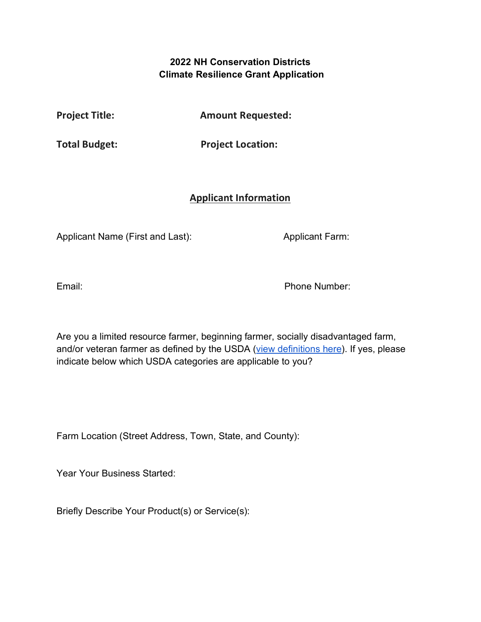## **2022 NH Conservation Districts Climate Resilience Grant Application**

**Project Title: Amount Requested:** 

**Total Budget: Project Location:** 

## **Applicant Information**

Applicant Name (First and Last): Applicant Farm:

Email: Phone Number:

Are you a limited resource farmer, beginning farmer, socially disadvantaged farm, and/or veteran farmer as defined by the USDA [\(view definitions here\)](https://www.nrcs.usda.gov/wps/portal/nrcs/detail/national/people/outreach/slbfr/?cid=nrcsdev11_001040). If yes, please indicate below which USDA categories are applicable to you?

Farm Location (Street Address, Town, State, and County):

Year Your Business Started:

Briefly Describe Your Product(s) or Service(s):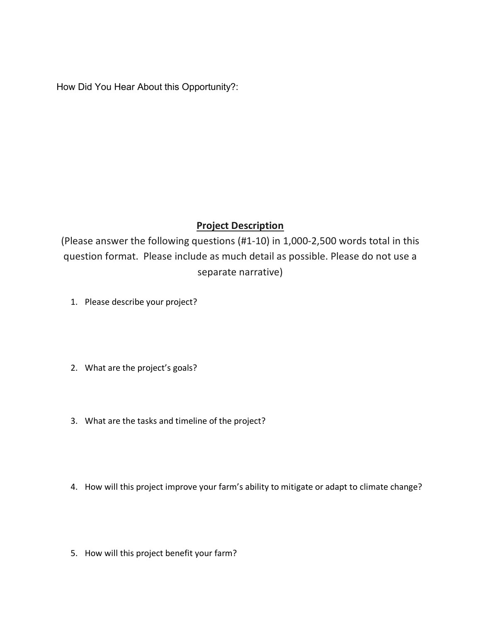How Did You Hear About this Opportunity?:

## **Project Description**

(Please answer the following questions (#1-10) in 1,000-2,500 words total in this question format. Please include as much detail as possible. Please do not use a separate narrative)

- 1. Please describe your project?
- 2. What are the project's goals?
- 3. What are the tasks and timeline of the project?
- 4. How will this project improve your farm's ability to mitigate or adapt to climate change?
- 5. How will this project benefit your farm?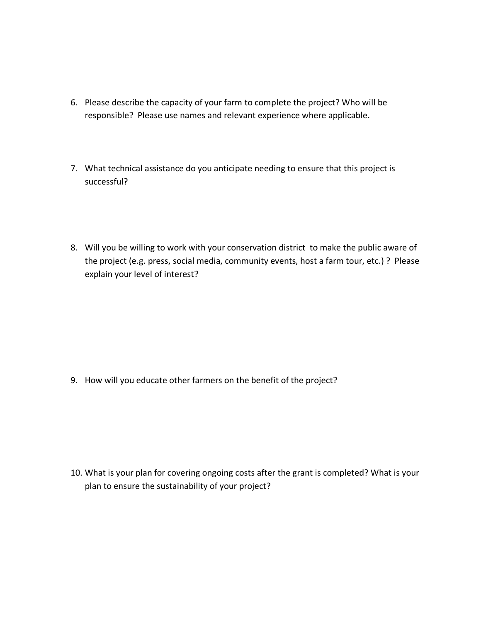- 6. Please describe the capacity of your farm to complete the project? Who will be responsible? Please use names and relevant experience where applicable.
- 7. What technical assistance do you anticipate needing to ensure that this project is successful?
- 8. Will you be willing to work with your conservation district to make the public aware of the project (e.g. press, social media, community events, host a farm tour, etc.) ? Please explain your level of interest?

9. How will you educate other farmers on the benefit of the project?

10. What is your plan for covering ongoing costs after the grant is completed? What is your plan to ensure the sustainability of your project?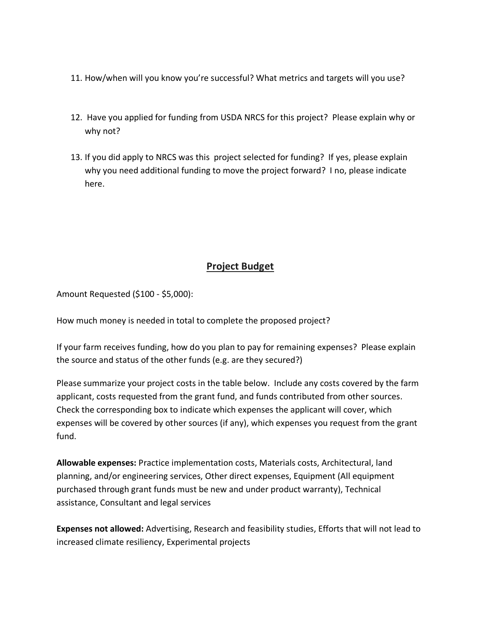- 11. How/when will you know you're successful? What metrics and targets will you use?
- 12. Have you applied for funding from USDA NRCS for this project? Please explain why or why not?
- 13. If you did apply to NRCS was this project selected for funding? If yes, please explain why you need additional funding to move the project forward? I no, please indicate here.

## **Project Budget**

Amount Requested (\$100 - \$5,000):

How much money is needed in total to complete the proposed project?

If your farm receives funding, how do you plan to pay for remaining expenses? Please explain the source and status of the other funds (e.g. are they secured?)

Please summarize your project costs in the table below. Include any costs covered by the farm applicant, costs requested from the grant fund, and funds contributed from other sources. Check the corresponding box to indicate which expenses the applicant will cover, which expenses will be covered by other sources (if any), which expenses you request from the grant fund.

**Allowable expenses:** Practice implementation costs, Materials costs, Architectural, land planning, and/or engineering services, Other direct expenses, Equipment (All equipment purchased through grant funds must be new and under product warranty), Technical assistance, Consultant and legal services

**Expenses not allowed:** Advertising, Research and feasibility studies, Efforts that will not lead to increased climate resiliency, Experimental projects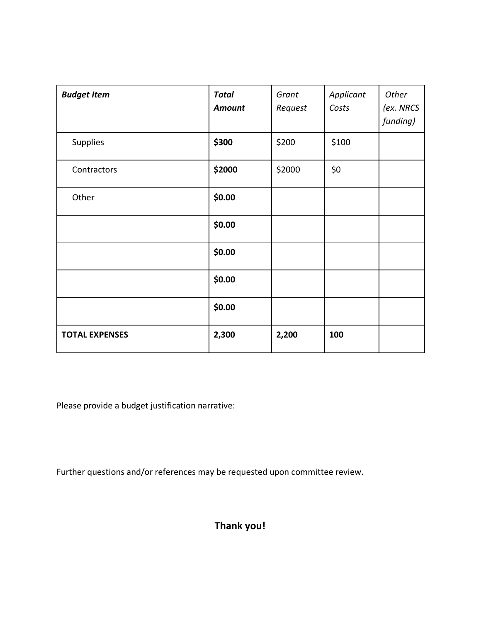| <b>Budget Item</b>    | <b>Total</b><br>Amount | Grant<br>Request | Applicant<br>Costs | Other<br>(ex. NRCS<br>funding) |
|-----------------------|------------------------|------------------|--------------------|--------------------------------|
| Supplies              | \$300                  | \$200            | \$100              |                                |
| Contractors           | \$2000                 | \$2000           | \$0                |                                |
| Other                 | \$0.00                 |                  |                    |                                |
|                       | \$0.00                 |                  |                    |                                |
|                       | \$0.00                 |                  |                    |                                |
|                       | \$0.00                 |                  |                    |                                |
|                       | \$0.00                 |                  |                    |                                |
| <b>TOTAL EXPENSES</b> | 2,300                  | 2,200            | 100                |                                |

Please provide a budget justification narrative:

Further questions and/or references may be requested upon committee review.

**Thank you!**